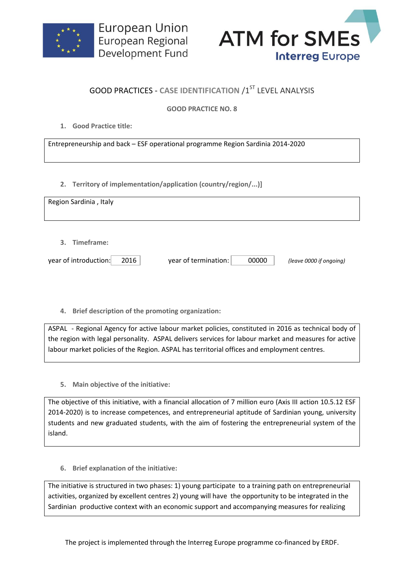



## **GOOD PRACTICES - CASE IDENTIFICATION /1ST LEVEL ANALYSIS**

## **GOOD PRACTICE NO. 8**

**1. Good Practice title:**

Entrepreneurship and back – ESF operational programme Region Sardinia 2014-2020

**2. Territory of implementation/application (country/region/...)]**

| Region Sardinia, Italy                 |      |                      |       |                         |
|----------------------------------------|------|----------------------|-------|-------------------------|
| 3. Timeframe:<br>year of introduction: | 2016 | year of termination: | 00000 | (leave 0000 if ongoing) |

**4. Brief description of the promoting organization:**

ASPAL - Regional Agency for active labour market policies, constituted in 2016 as technical body of the region with legal personality. ASPAL delivers services for labour market and measures for active labour market policies of the Region. ASPAL has territorial offices and employment centres.

**5. Main objective of the initiative:**

The objective of this initiative, with a financial allocation of 7 million euro (Axis III action 10.5.12 ESF 2014-2020) is to increase competences, and entrepreneurial aptitude of Sardinian young, university students and new graduated students, with the aim of fostering the entrepreneurial system of the island.

**6. Brief explanation of the initiative:**

The initiative is structured in two phases: 1) young participate to a training path on entrepreneurial activities, organized by excellent centres 2) young will have the opportunity to be integrated in the Sardinian productive context with an economic support and accompanying measures for realizing